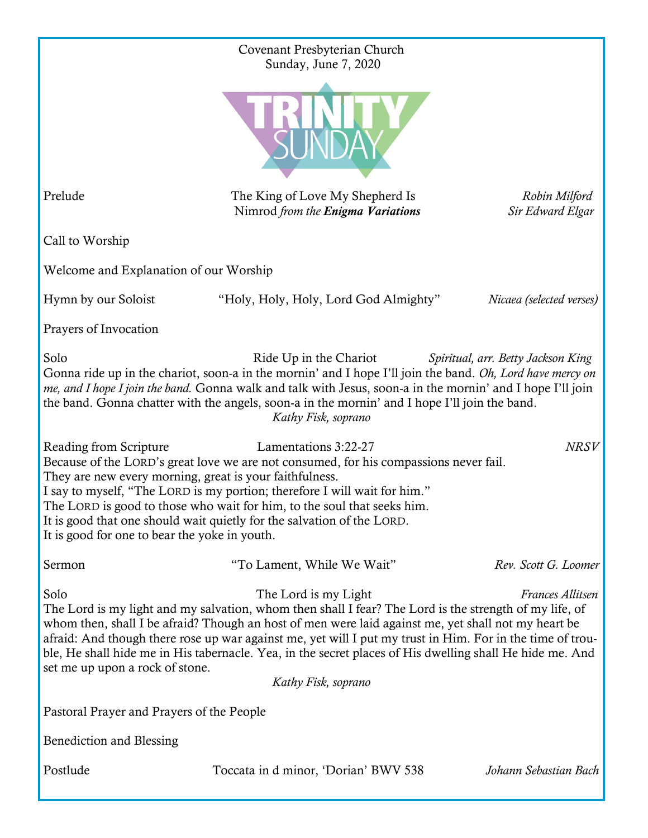| Covenant Presbyterian Church                                                                                                                                                                                                                                                                                                                                                                                                                                                                                                                         |                                                                      |                                   |
|------------------------------------------------------------------------------------------------------------------------------------------------------------------------------------------------------------------------------------------------------------------------------------------------------------------------------------------------------------------------------------------------------------------------------------------------------------------------------------------------------------------------------------------------------|----------------------------------------------------------------------|-----------------------------------|
|                                                                                                                                                                                                                                                                                                                                                                                                                                                                                                                                                      | Sunday, June 7, 2020                                                 |                                   |
| Prelude                                                                                                                                                                                                                                                                                                                                                                                                                                                                                                                                              | The King of Love My Shepherd Is<br>Nimrod from the Enigma Variations | Robin Milford<br>Sir Edward Elgar |
| Call to Worship                                                                                                                                                                                                                                                                                                                                                                                                                                                                                                                                      |                                                                      |                                   |
| Welcome and Explanation of our Worship                                                                                                                                                                                                                                                                                                                                                                                                                                                                                                               |                                                                      |                                   |
| Hymn by our Soloist                                                                                                                                                                                                                                                                                                                                                                                                                                                                                                                                  | "Holy, Holy, Holy, Lord God Almighty"                                | Nicaea (selected verses)          |
| Prayers of Invocation                                                                                                                                                                                                                                                                                                                                                                                                                                                                                                                                |                                                                      |                                   |
| Solo<br>Ride Up in the Chariot<br>Spiritual, arr. Betty Jackson King<br>Gonna ride up in the chariot, soon-a in the mornin' and I hope I'll join the band. Oh, Lord have mercy on<br>me, and I hope I join the band. Gonna walk and talk with Jesus, soon-a in the mornin' and I hope I'll join<br>the band. Gonna chatter with the angels, soon-a in the mornin' and I hope I'll join the band.<br>Kathy Fisk, soprano                                                                                                                              |                                                                      |                                   |
| Lamentations 3:22-27<br><b>NRSV</b><br>Reading from Scripture<br>Because of the LORD's great love we are not consumed, for his compassions never fail.<br>They are new every morning, great is your faithfulness.<br>I say to myself, "The LORD is my portion; therefore I will wait for him."<br>The LORD is good to those who wait for him, to the soul that seeks him.<br>It is good that one should wait quietly for the salvation of the LORD.<br>It is good for one to bear the yoke in youth.                                                 |                                                                      |                                   |
| Sermon                                                                                                                                                                                                                                                                                                                                                                                                                                                                                                                                               | "To Lament, While We Wait"                                           | Rev. Scott G. Loomer              |
| Solo<br>The Lord is my Light<br>Frances Allitsen<br>The Lord is my light and my salvation, whom then shall I fear? The Lord is the strength of my life, of<br>whom then, shall I be afraid? Though an host of men were laid against me, yet shall not my heart be<br>afraid: And though there rose up war against me, yet will I put my trust in Him. For in the time of trou-<br>ble, He shall hide me in His tabernacle. Yea, in the secret places of His dwelling shall He hide me. And<br>set me up upon a rock of stone.<br>Kathy Fisk, soprano |                                                                      |                                   |
| Pastoral Prayer and Prayers of the People                                                                                                                                                                                                                                                                                                                                                                                                                                                                                                            |                                                                      |                                   |
| Benediction and Blessing                                                                                                                                                                                                                                                                                                                                                                                                                                                                                                                             |                                                                      |                                   |
| Postlude                                                                                                                                                                                                                                                                                                                                                                                                                                                                                                                                             | Toccata in d minor, 'Dorian' BWV 538                                 | Johann Sebastian Bach             |